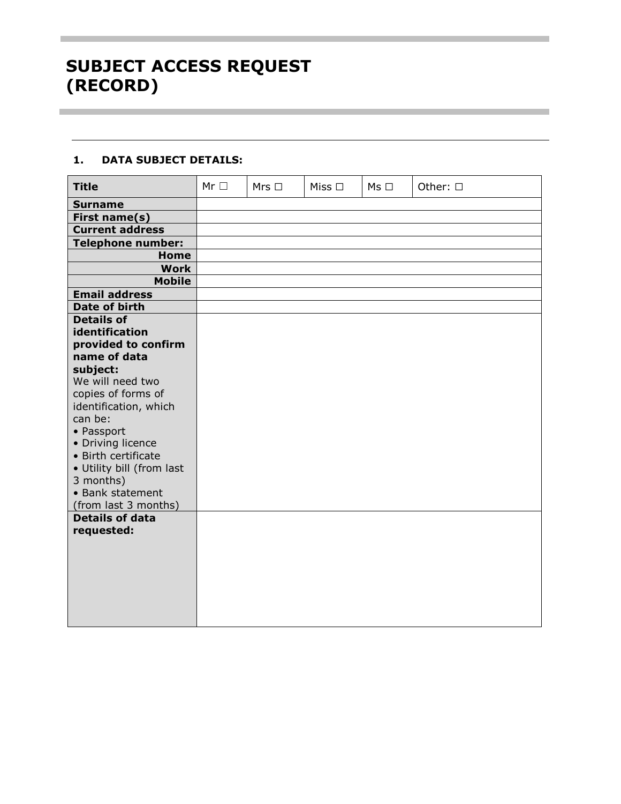## **1. DATA SUBJECT DETAILS:**

| <b>Title</b>                  | $Mr \Box$ | $Mrs$ $\square$ | Miss $\square$ | $Ms \Box$ | Other: 0 |
|-------------------------------|-----------|-----------------|----------------|-----------|----------|
| <b>Surname</b>                |           |                 |                |           |          |
| First name(s)                 |           |                 |                |           |          |
| <b>Current address</b>        |           |                 |                |           |          |
| <b>Telephone number:</b>      |           |                 |                |           |          |
| <b>Home</b>                   |           |                 |                |           |          |
| <b>Work</b>                   |           |                 |                |           |          |
| <b>Mobile</b>                 |           |                 |                |           |          |
| <b>Email address</b>          |           |                 |                |           |          |
| Date of birth                 |           |                 |                |           |          |
| <b>Details of</b>             |           |                 |                |           |          |
| identification                |           |                 |                |           |          |
| provided to confirm           |           |                 |                |           |          |
| name of data                  |           |                 |                |           |          |
| subject:                      |           |                 |                |           |          |
| We will need two              |           |                 |                |           |          |
| copies of forms of            |           |                 |                |           |          |
| identification, which         |           |                 |                |           |          |
| can be:                       |           |                 |                |           |          |
| • Passport                    |           |                 |                |           |          |
| • Driving licence             |           |                 |                |           |          |
| • Birth certificate           |           |                 |                |           |          |
| · Utility bill (from last     |           |                 |                |           |          |
| 3 months)<br>• Bank statement |           |                 |                |           |          |
| (from last 3 months)          |           |                 |                |           |          |
| <b>Details of data</b>        |           |                 |                |           |          |
| requested:                    |           |                 |                |           |          |
|                               |           |                 |                |           |          |
|                               |           |                 |                |           |          |
|                               |           |                 |                |           |          |
|                               |           |                 |                |           |          |
|                               |           |                 |                |           |          |
|                               |           |                 |                |           |          |
|                               |           |                 |                |           |          |